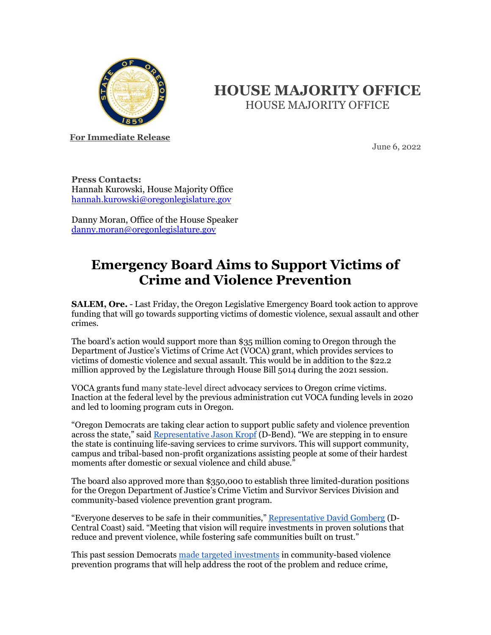

## **HOUSE MAJORITY OFFICE** HOUSE MAJORITY OFFICE

**For Immediate Release**

June 6, 2022

**Press Contacts:** Hannah Kurowski, House Majority Office [hannah.kurowski@oregonlegislature.gov](mailto:hannah.kurowski@oregonlegislature.gov)

Danny Moran, Office of the House Speaker [danny.moran@oregonlegislature.gov](mailto:danny.moran@oregonlegislature.gov)

## **Emergency Board Aims to Support Victims of Crime and Violence Prevention**

**SALEM, Ore.** - Last Friday, the Oregon Legislative Emergency Board took action to approve funding that will go towards supporting victims of domestic violence, sexual assault and other crimes.

The board's action would support more than \$35 million coming to Oregon through the Department of Justice's Victims of Crime Act (VOCA) grant, which provides services to victims of domestic violence and sexual assault. This would be in addition to the \$22.2 million approved by the Legislature through House Bill 5014 during the 2021 session.

VOCA grants fund many state-level direct advocacy services to Oregon crime victims. Inaction at the federal level by the previous administration cut VOCA funding levels in 2020 and led to looming program cuts in Oregon.

"Oregon Democrats are taking clear action to support public safety and violence prevention across the state," said [Representative Jason Kropf](https://www.oregonlegislature.gov/kropf) (D-Bend). "We are stepping in to ensure the state is continuing life-saving services to crime survivors. This will support community, campus and tribal-based non-profit organizations assisting people at some of their hardest moments after domestic or sexual violence and child abuse."

The board also approved more than \$350,000 to establish three limited-duration positions for the Oregon Department of Justice's Crime Victim and Survivor Services Division and community-based violence prevention grant program.

"Everyone deserves to be safe in their communities," [Representative David Gomberg](https://www.oregonlegislature.gov/gomberg) (D-Central Coast) said. "Meeting that vision will require investments in proven solutions that reduce and prevent violence, while fostering safe communities built on trust."

This past session Democrats [made targeted investments](https://www.oregonlegislature.gov/rayfield/Documents/2022%20Legislative%20Budget%20Summary.pdf) in community-based violence prevention programs that will help address the root of the problem and reduce crime,